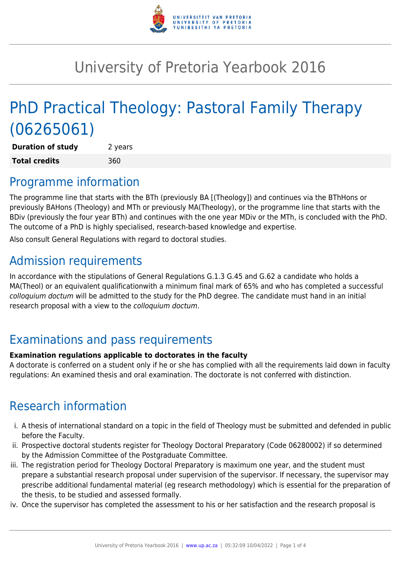

# University of Pretoria Yearbook 2016

# PhD Practical Theology: Pastoral Family Therapy (06265061)

**Duration of study** 2 years **Total credits** 360

### Programme information

The programme line that starts with the BTh (previously BA [(Theology]) and continues via the BThHons or previously BAHons (Theology) and MTh or previously MA(Theology), or the programme line that starts with the BDiv (previously the four year BTh) and continues with the one year MDiv or the MTh, is concluded with the PhD. The outcome of a PhD is highly specialised, research-based knowledge and expertise.

Also consult General Regulations with regard to doctoral studies.

## Admission requirements

In accordance with the stipulations of General Regulations G.1.3 G.45 and G.62 a candidate who holds a MA(Theol) or an equivalent qualificationwith a minimum final mark of 65% and who has completed a successful colloquium doctum will be admitted to the study for the PhD degree. The candidate must hand in an initial research proposal with a view to the colloquium doctum.

## Examinations and pass requirements

#### **Examination regulations applicable to doctorates in the faculty**

A doctorate is conferred on a student only if he or she has complied with all the requirements laid down in faculty regulations: An examined thesis and oral examination. The doctorate is not conferred with distinction.

## Research information

- i. A thesis of international standard on a topic in the field of Theology must be submitted and defended in public before the Faculty.
- ii. Prospective doctoral students register for Theology Doctoral Preparatory (Code 06280002) if so determined by the Admission Committee of the Postgraduate Committee.
- iii. The registration period for Theology Doctoral Preparatory is maximum one year, and the student must prepare a substantial research proposal under supervision of the supervisor. If necessary, the supervisor may prescribe additional fundamental material (eg research methodology) which is essential for the preparation of the thesis, to be studied and assessed formally.
- iv. Once the supervisor has completed the assessment to his or her satisfaction and the research proposal is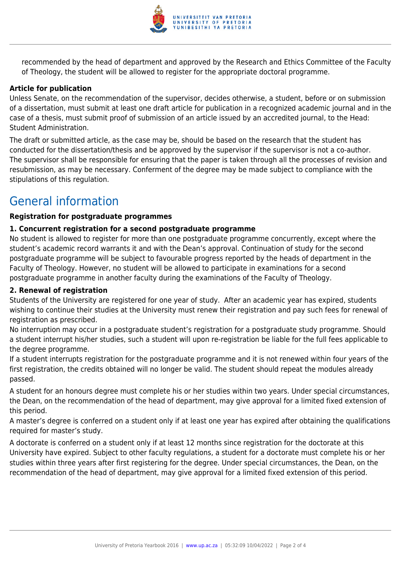

recommended by the head of department and approved by the Research and Ethics Committee of the Faculty of Theology, the student will be allowed to register for the appropriate doctoral programme.

#### **Article for publication**

Unless Senate, on the recommendation of the supervisor, decides otherwise, a student, before or on submission of a dissertation, must submit at least one draft article for publication in a recognized academic journal and in the case of a thesis, must submit proof of submission of an article issued by an accredited journal, to the Head: Student Administration.

The draft or submitted article, as the case may be, should be based on the research that the student has conducted for the dissertation/thesis and be approved by the supervisor if the supervisor is not a co-author. The supervisor shall be responsible for ensuring that the paper is taken through all the processes of revision and resubmission, as may be necessary. Conferment of the degree may be made subject to compliance with the stipulations of this regulation.

### General information

#### **Registration for postgraduate programmes**

#### **1. Concurrent registration for a second postgraduate programme**

No student is allowed to register for more than one postgraduate programme concurrently, except where the student's academic record warrants it and with the Dean's approval. Continuation of study for the second postgraduate programme will be subject to favourable progress reported by the heads of department in the Faculty of Theology. However, no student will be allowed to participate in examinations for a second postgraduate programme in another faculty during the examinations of the Faculty of Theology.

#### **2. Renewal of registration**

Students of the University are registered for one year of study. After an academic year has expired, students wishing to continue their studies at the University must renew their registration and pay such fees for renewal of registration as prescribed.

No interruption may occur in a postgraduate student's registration for a postgraduate study programme. Should a student interrupt his/her studies, such a student will upon re-registration be liable for the full fees applicable to the degree programme.

If a student interrupts registration for the postgraduate programme and it is not renewed within four years of the first registration, the credits obtained will no longer be valid. The student should repeat the modules already passed.

A student for an honours degree must complete his or her studies within two years. Under special circumstances, the Dean, on the recommendation of the head of department, may give approval for a limited fixed extension of this period.

A master's degree is conferred on a student only if at least one year has expired after obtaining the qualifications required for master's study.

A doctorate is conferred on a student only if at least 12 months since registration for the doctorate at this University have expired. Subject to other faculty regulations, a student for a doctorate must complete his or her studies within three years after first registering for the degree. Under special circumstances, the Dean, on the recommendation of the head of department, may give approval for a limited fixed extension of this period.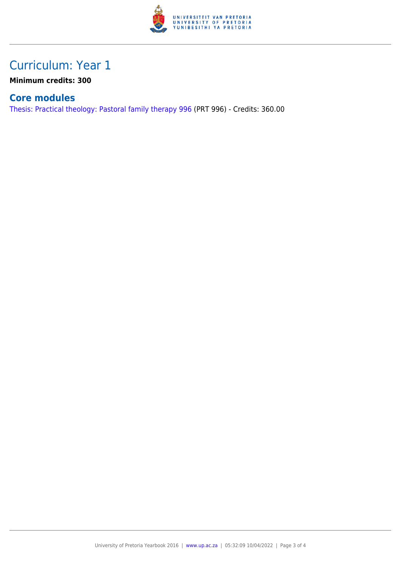

## Curriculum: Year 1

**Minimum credits: 300**

#### **Core modules**

[Thesis: Practical theology: Pastoral family therapy 996](https://www.up.ac.za/faculty-of-education/yearbooks/2016/modules/view/PRT 996) (PRT 996) - Credits: 360.00